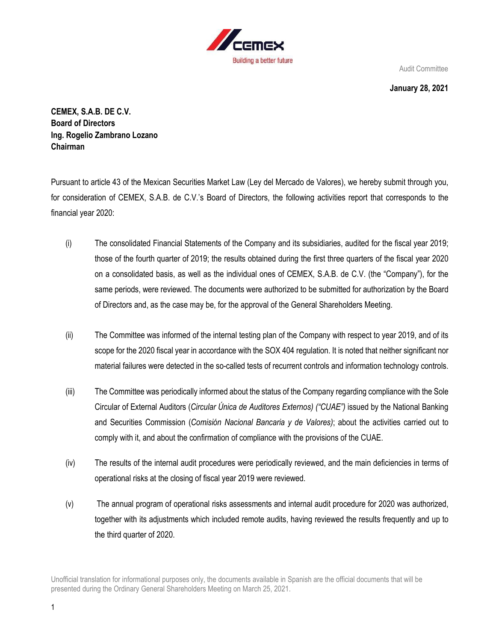

**January 28, 2021**

**CEMEX, S.A.B. DE C.V. Board of Directors Ing. Rogelio Zambrano Lozano Chairman**

Pursuant to article 43 of the Mexican Securities Market Law (Ley del Mercado de Valores), we hereby submit through you, for consideration of CEMEX, S.A.B. de C.V.'s Board of Directors, the following activities report that corresponds to the financial year 2020:

- (i) The consolidated Financial Statements of the Company and its subsidiaries, audited for the fiscal year 2019; those of the fourth quarter of 2019; the results obtained during the first three quarters of the fiscal year 2020 on a consolidated basis, as well as the individual ones of CEMEX, S.A.B. de C.V. (the "Company"), for the same periods, were reviewed. The documents were authorized to be submitted for authorization by the Board of Directors and, as the case may be, for the approval of the General Shareholders Meeting.
- (ii) The Committee was informed of the internal testing plan of the Company with respect to year 2019, and of its scope for the 2020 fiscal year in accordance with the SOX 404 regulation. It is noted that neither significant nor material failures were detected in the so-called tests of recurrent controls and information technology controls.
- (iii) The Committee was periodically informed about the status of the Company regarding compliance with the Sole Circular of External Auditors (*Circular Única de Auditores Externos) ("CUAE")* issued by the National Banking and Securities Commission (*Comisión Nacional Bancaria y de Valores)*; about the activities carried out to comply with it, and about the confirmation of compliance with the provisions of the CUAE.
- (iv) The results of the internal audit procedures were periodically reviewed, and the main deficiencies in terms of operational risks at the closing of fiscal year 2019 were reviewed.
- (v) The annual program of operational risks assessments and internal audit procedure for 2020 was authorized, together with its adjustments which included remote audits, having reviewed the results frequently and up to the third quarter of 2020.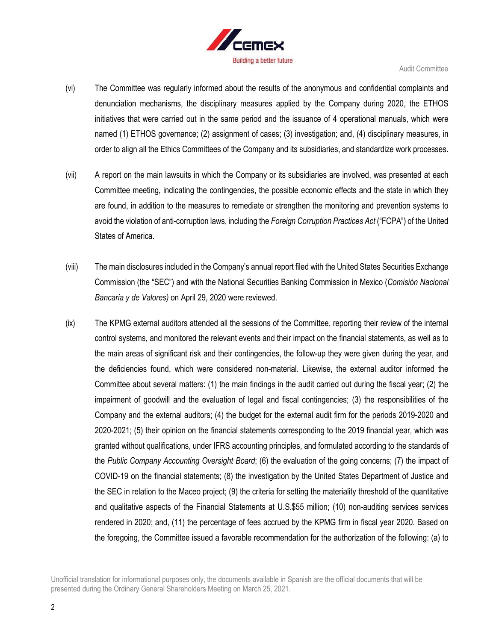

- (vi) The Committee was regularly informed about the results of the anonymous and confidential complaints and denunciation mechanisms, the disciplinary measures applied by the Company during 2020, the ETHOS initiatives that were carried out in the same period and the issuance of 4 operational manuals, which were named (1) ETHOS governance; (2) assignment of cases; (3) investigation; and, (4) disciplinary measures, in order to align all the Ethics Committees of the Company and its subsidiaries, and standardize work processes.
- (vii) A report on the main lawsuits in which the Company or its subsidiaries are involved, was presented at each Committee meeting, indicating the contingencies, the possible economic effects and the state in which they are found, in addition to the measures to remediate or strengthen the monitoring and prevention systems to avoid the violation of anti-corruption laws, including the *Foreign Corruption Practices Act* ("FCPA") of the United States of America.
- (viii) The main disclosures included in the Company's annual report filed with the United States Securities Exchange Commission (the "SEC") and with the National Securities Banking Commission in Mexico (*Comisión Nacional Bancaria y de Valores)* on April 29, 2020 were reviewed.
- (ix) The KPMG external auditors attended all the sessions of the Committee, reporting their review of the internal control systems, and monitored the relevant events and their impact on the financial statements, as well as to the main areas of significant risk and their contingencies, the follow-up they were given during the year, and the deficiencies found, which were considered non-material. Likewise, the external auditor informed the Committee about several matters: (1) the main findings in the audit carried out during the fiscal year; (2) the impairment of goodwill and the evaluation of legal and fiscal contingencies; (3) the responsibilities of the Company and the external auditors; (4) the budget for the external audit firm for the periods 2019-2020 and 2020-2021; (5) their opinion on the financial statements corresponding to the 2019 financial year, which was granted without qualifications, under IFRS accounting principles, and formulated according to the standards of the *Public Company Accounting Oversight Board*; (6) the evaluation of the going concerns; (7) the impact of COVID-19 on the financial statements; (8) the investigation by the United States Department of Justice and the SEC in relation to the Maceo project; (9) the criteria for setting the materiality threshold of the quantitative and qualitative aspects of the Financial Statements at U.S.\$55 million; (10) non-auditing services services rendered in 2020; and, (11) the percentage of fees accrued by the KPMG firm in fiscal year 2020. Based on the foregoing, the Committee issued a favorable recommendation for the authorization of the following: (a) to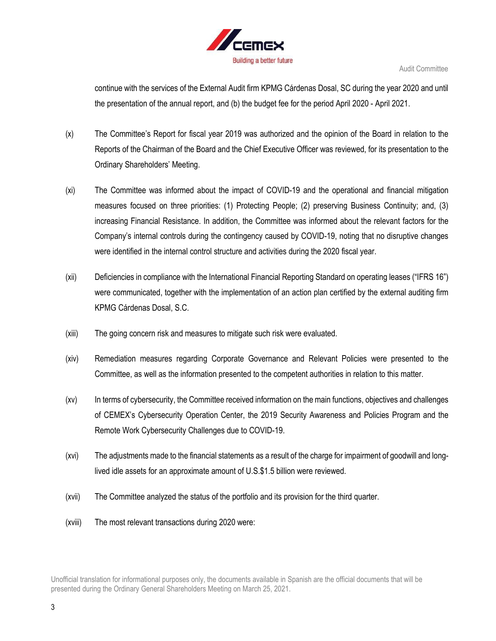

continue with the services of the External Audit firm KPMG Cárdenas Dosal, SC during the year 2020 and until the presentation of the annual report, and (b) the budget fee for the period April 2020 - April 2021.

- (x) The Committee's Report for fiscal year 2019 was authorized and the opinion of the Board in relation to the Reports of the Chairman of the Board and the Chief Executive Officer was reviewed, for its presentation to the Ordinary Shareholders' Meeting.
- (xi) The Committee was informed about the impact of COVID-19 and the operational and financial mitigation measures focused on three priorities: (1) Protecting People; (2) preserving Business Continuity; and, (3) increasing Financial Resistance. In addition, the Committee was informed about the relevant factors for the Company's internal controls during the contingency caused by COVID-19, noting that no disruptive changes were identified in the internal control structure and activities during the 2020 fiscal year.
- (xii) Deficiencies in compliance with the International Financial Reporting Standard on operating leases ("IFRS 16") were communicated, together with the implementation of an action plan certified by the external auditing firm KPMG Cárdenas Dosal, S.C.
- (xiii) The going concern risk and measures to mitigate such risk were evaluated.
- (xiv) Remediation measures regarding Corporate Governance and Relevant Policies were presented to the Committee, as well as the information presented to the competent authorities in relation to this matter.
- (xv) In terms of cybersecurity, the Committee received information on the main functions, objectives and challenges of CEMEX's Cybersecurity Operation Center, the 2019 Security Awareness and Policies Program and the Remote Work Cybersecurity Challenges due to COVID-19.
- (xvi) The adjustments made to the financial statements as a result of the charge for impairment of goodwill and longlived idle assets for an approximate amount of U.S.\$1.5 billion were reviewed.
- (xvii) The Committee analyzed the status of the portfolio and its provision for the third quarter.
- (xviii) The most relevant transactions during 2020 were: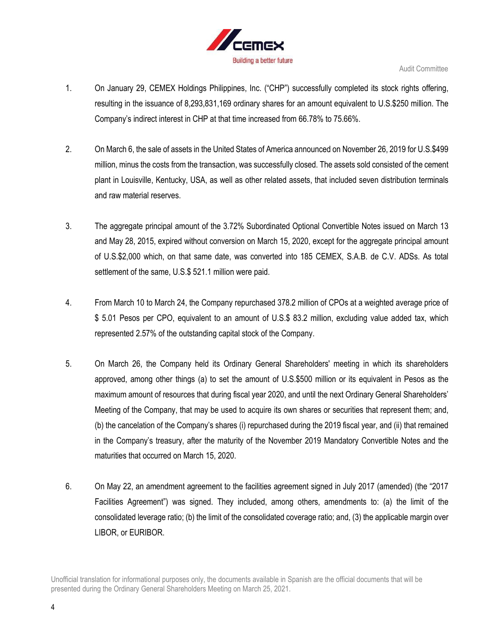

- 1. On January 29, CEMEX Holdings Philippines, Inc. ("CHP") successfully completed its stock rights offering, resulting in the issuance of 8,293,831,169 ordinary shares for an amount equivalent to U.S.\$250 million. The Company's indirect interest in CHP at that time increased from 66.78% to 75.66%.
- 2. On March 6, the sale of assets in the United States of America announced on November 26, 2019 for U.S.\$499 million, minus the costs from the transaction, was successfully closed. The assets sold consisted of the cement plant in Louisville, Kentucky, USA, as well as other related assets, that included seven distribution terminals and raw material reserves.
- 3. The aggregate principal amount of the 3.72% Subordinated Optional Convertible Notes issued on March 13 and May 28, 2015, expired without conversion on March 15, 2020, except for the aggregate principal amount of U.S.\$2,000 which, on that same date, was converted into 185 CEMEX, S.A.B. de C.V. ADSs. As total settlement of the same, U.S.\$ 521.1 million were paid.
- 4. From March 10 to March 24, the Company repurchased 378.2 million of CPOs at a weighted average price of \$ 5.01 Pesos per CPO, equivalent to an amount of U.S.\$ 83.2 million, excluding value added tax, which represented 2.57% of the outstanding capital stock of the Company.
- 5. On March 26, the Company held its Ordinary General Shareholders' meeting in which its shareholders approved, among other things (a) to set the amount of U.S.\$500 million or its equivalent in Pesos as the maximum amount of resources that during fiscal year 2020, and until the next Ordinary General Shareholders' Meeting of the Company, that may be used to acquire its own shares or securities that represent them; and, (b) the cancelation of the Company's shares (i) repurchased during the 2019 fiscal year, and (ii) that remained in the Company's treasury, after the maturity of the November 2019 Mandatory Convertible Notes and the maturities that occurred on March 15, 2020.
- 6. On May 22, an amendment agreement to the facilities agreement signed in July 2017 (amended) (the "2017 Facilities Agreement") was signed. They included, among others, amendments to: (a) the limit of the consolidated leverage ratio; (b) the limit of the consolidated coverage ratio; and, (3) the applicable margin over LIBOR, or EURIBOR.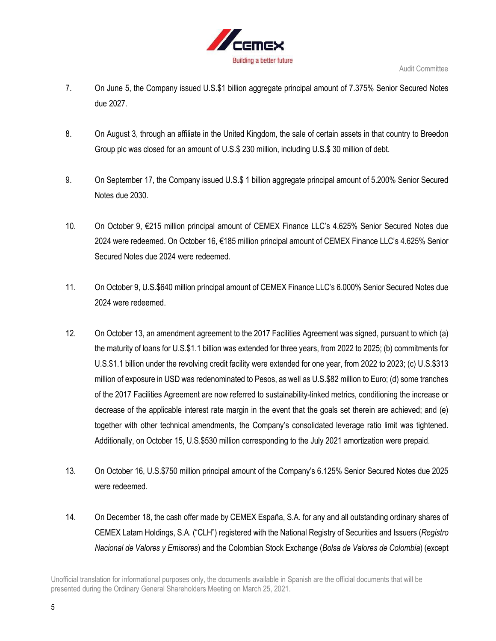

- 7. On June 5, the Company issued U.S.\$1 billion aggregate principal amount of 7.375% Senior Secured Notes due 2027.
- 8. On August 3, through an affiliate in the United Kingdom, the sale of certain assets in that country to Breedon Group plc was closed for an amount of U.S.\$ 230 million, including U.S.\$ 30 million of debt.
- 9. On September 17, the Company issued U.S.\$ 1 billion aggregate principal amount of 5.200% Senior Secured Notes due 2030.
- 10. On October 9, €215 million principal amount of CEMEX Finance LLC's 4.625% Senior Secured Notes due 2024 were redeemed. On October 16, €185 million principal amount of CEMEX Finance LLC's 4.625% Senior Secured Notes due 2024 were redeemed.
- 11. On October 9, U.S.\$640 million principal amount of CEMEX Finance LLC's 6.000% Senior Secured Notes due 2024 were redeemed.
- 12. On October 13, an amendment agreement to the 2017 Facilities Agreement was signed, pursuant to which (a) the maturity of loans for U.S.\$1.1 billion was extended for three years, from 2022 to 2025; (b) commitments for U.S.\$1.1 billion under the revolving credit facility were extended for one year, from 2022 to 2023; (c) U.S.\$313 million of exposure in USD was redenominated to Pesos, as well as U.S.\$82 million to Euro; (d) some tranches of the 2017 Facilities Agreement are now referred to sustainability-linked metrics, conditioning the increase or decrease of the applicable interest rate margin in the event that the goals set therein are achieved; and (e) together with other technical amendments, the Company's consolidated leverage ratio limit was tightened. Additionally, on October 15, U.S.\$530 million corresponding to the July 2021 amortization were prepaid.
- 13. On October 16, U.S.\$750 million principal amount of the Company's 6.125% Senior Secured Notes due 2025 were redeemed.
- 14. On December 18, the cash offer made by CEMEX España, S.A. for any and all outstanding ordinary shares of CEMEX Latam Holdings, S.A. ("CLH") registered with the National Registry of Securities and Issuers (*Registro Nacional de Valores y Emisores*) and the Colombian Stock Exchange (*Bolsa de Valores de Colombia*) (except